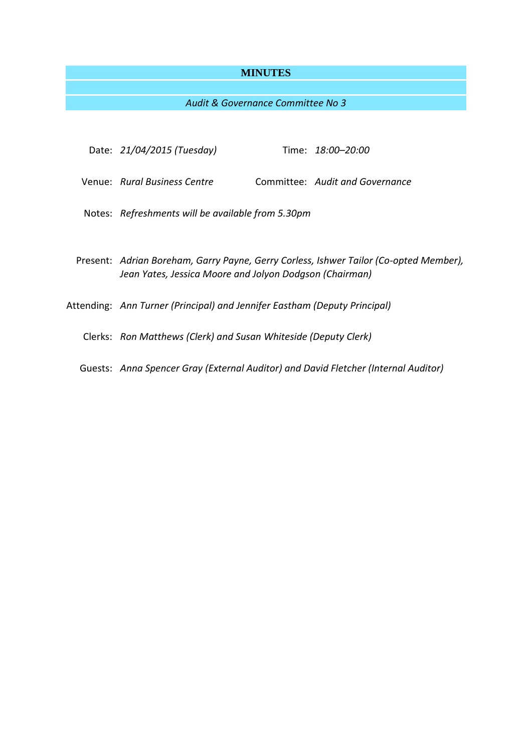# **MINUTES**

# *Audit & Governance Committee No 3*

| Date: 21/04/2015 (Tuesday)                                                                                                                       |  | Time: 18:00–20:00               |
|--------------------------------------------------------------------------------------------------------------------------------------------------|--|---------------------------------|
| Venue: Rural Business Centre                                                                                                                     |  | Committee: Audit and Governance |
| Notes: Refreshments will be available from 5.30pm                                                                                                |  |                                 |
| Present: Adrian Boreham, Garry Payne, Gerry Corless, Ishwer Tailor (Co-opted Member),<br>Jean Yates, Jessica Moore and Jolyon Dodgson (Chairman) |  |                                 |
| Attending: Ann Turner (Principal) and Jennifer Eastham (Deputy Principal)                                                                        |  |                                 |
| Clerks: Ron Matthews (Clerk) and Susan Whiteside (Deputy Clerk)                                                                                  |  |                                 |
| Guests: Anna Spencer Gray (External Auditor) and David Fletcher (Internal Auditor)                                                               |  |                                 |
|                                                                                                                                                  |  |                                 |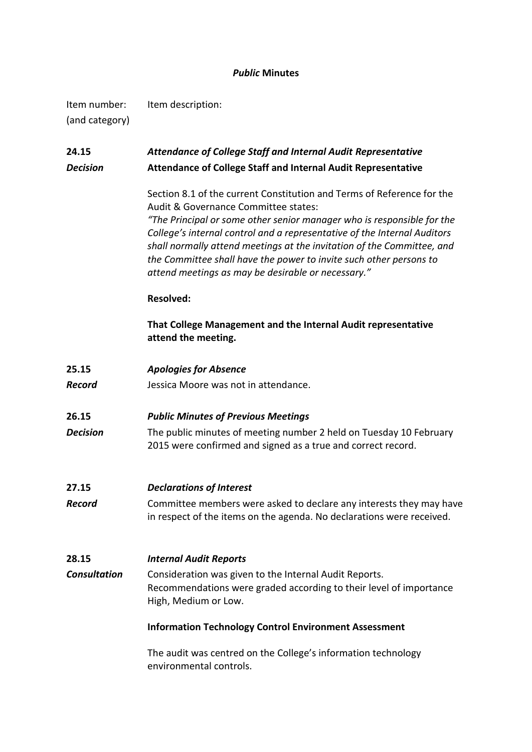### *Public* **Minutes**

Item number: Item description: (and category)

# **24.15** *Attendance of College Staff and Internal Audit Representative Decision* **Attendance of College Staff and Internal Audit Representative**

Section 8.1 of the current Constitution and Terms of Reference for the Audit & Governance Committee states:

*"The Principal or some other senior manager who is responsible for the College's internal control and a representative of the Internal Auditors shall normally attend meetings at the invitation of the Committee, and the Committee shall have the power to invite such other persons to attend meetings as may be desirable or necessary."*

### **Resolved:**

**That College Management and the Internal Audit representative attend the meeting.**

**25.15** *Apologies for Absence*

*Record* Jessica Moore was not in attendance.

- **26.15** *Public Minutes of Previous Meetings*
- **Decision** The public minutes of meeting number 2 held on Tuesday 10 February 2015 were confirmed and signed as a true and correct record.

### **27.15** *Declarations of Interest*

**Record** Committee members were asked to declare any interests they may have in respect of the items on the agenda. No declarations were received.

### **28.15** *Internal Audit Reports*

*Consultation* Consideration was given to the Internal Audit Reports. Recommendations were graded according to their level of importance High, Medium or Low.

### **Information Technology Control Environment Assessment**

The audit was centred on the College's information technology environmental controls.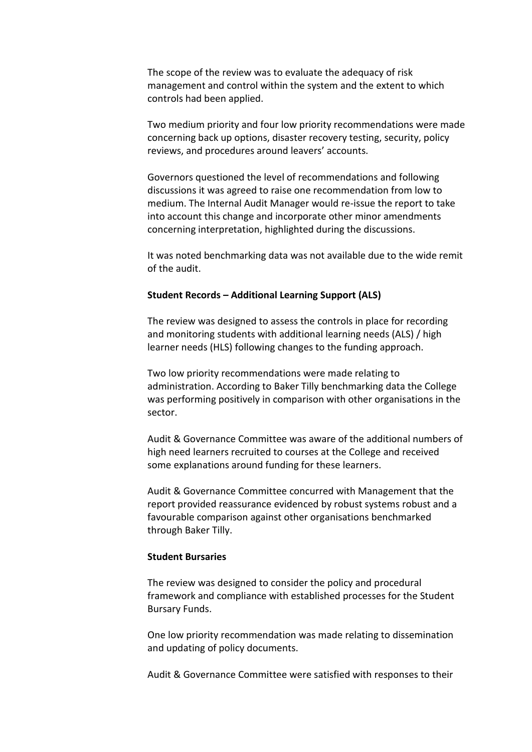The scope of the review was to evaluate the adequacy of risk management and control within the system and the extent to which controls had been applied.

Two medium priority and four low priority recommendations were made concerning back up options, disaster recovery testing, security, policy reviews, and procedures around leavers' accounts.

Governors questioned the level of recommendations and following discussions it was agreed to raise one recommendation from low to medium. The Internal Audit Manager would re-issue the report to take into account this change and incorporate other minor amendments concerning interpretation, highlighted during the discussions.

It was noted benchmarking data was not available due to the wide remit of the audit.

#### **Student Records – Additional Learning Support (ALS)**

The review was designed to assess the controls in place for recording and monitoring students with additional learning needs (ALS) / high learner needs (HLS) following changes to the funding approach.

Two low priority recommendations were made relating to administration. According to Baker Tilly benchmarking data the College was performing positively in comparison with other organisations in the sector.

Audit & Governance Committee was aware of the additional numbers of high need learners recruited to courses at the College and received some explanations around funding for these learners.

Audit & Governance Committee concurred with Management that the report provided reassurance evidenced by robust systems robust and a favourable comparison against other organisations benchmarked through Baker Tilly.

#### **Student Bursaries**

The review was designed to consider the policy and procedural framework and compliance with established processes for the Student Bursary Funds.

One low priority recommendation was made relating to dissemination and updating of policy documents.

Audit & Governance Committee were satisfied with responses to their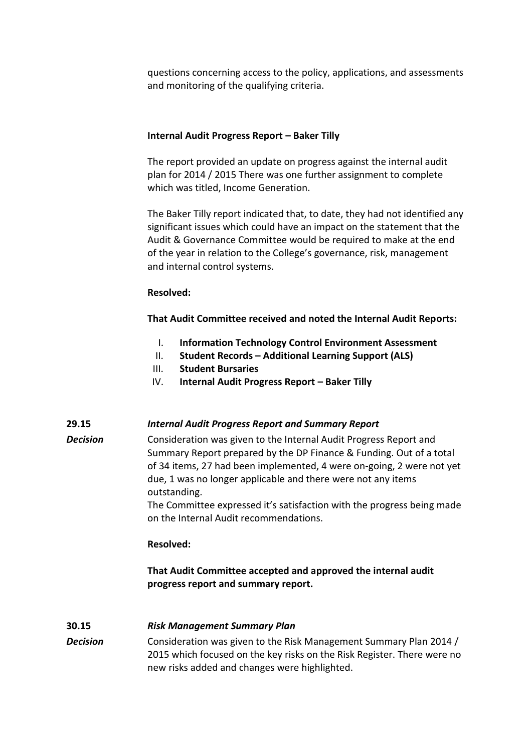questions concerning access to the policy, applications, and assessments and monitoring of the qualifying criteria.

#### **Internal Audit Progress Report – Baker Tilly**

The report provided an update on progress against the internal audit plan for 2014 / 2015 There was one further assignment to complete which was titled, Income Generation.

The Baker Tilly report indicated that, to date, they had not identified any significant issues which could have an impact on the statement that the Audit & Governance Committee would be required to make at the end of the year in relation to the College's governance, risk, management and internal control systems.

#### **Resolved:**

**That Audit Committee received and noted the Internal Audit Reports:**

- I. **Information Technology Control Environment Assessment**
- II. **Student Records – Additional Learning Support (ALS)**
- III. **Student Bursaries**
- IV. **Internal Audit Progress Report – Baker Tilly**

#### **29.15** *Internal Audit Progress Report and Summary Report*

**Decision** Consideration was given to the Internal Audit Progress Report and Summary Report prepared by the DP Finance & Funding. Out of a total of 34 items, 27 had been implemented, 4 were on-going, 2 were not yet due, 1 was no longer applicable and there were not any items outstanding.

> The Committee expressed it's satisfaction with the progress being made on the Internal Audit recommendations.

#### **Resolved:**

# **That Audit Committee accepted and approved the internal audit progress report and summary report.**

### **30.15** *Risk Management Summary Plan*

**Decision** Consideration was given to the Risk Management Summary Plan 2014 / 2015 which focused on the key risks on the Risk Register. There were no new risks added and changes were highlighted.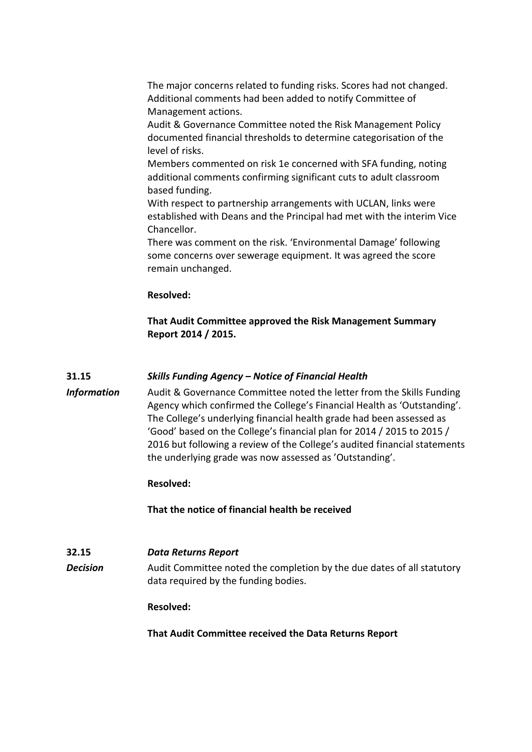The major concerns related to funding risks. Scores had not changed. Additional comments had been added to notify Committee of Management actions.

Audit & Governance Committee noted the Risk Management Policy documented financial thresholds to determine categorisation of the level of risks.

Members commented on risk 1e concerned with SFA funding, noting additional comments confirming significant cuts to adult classroom based funding.

With respect to partnership arrangements with UCLAN, links were established with Deans and the Principal had met with the interim Vice Chancellor.

There was comment on the risk. 'Environmental Damage' following some concerns over sewerage equipment. It was agreed the score remain unchanged.

#### **Resolved:**

**That Audit Committee approved the Risk Management Summary Report 2014 / 2015.**

### **31.15** *Skills Funding Agency – Notice of Financial Health*

*Information* Audit & Governance Committee noted the letter from the Skills Funding Agency which confirmed the College's Financial Health as 'Outstanding'. The College's underlying financial health grade had been assessed as 'Good' based on the College's financial plan for 2014 / 2015 to 2015 / 2016 but following a review of the College's audited financial statements the underlying grade was now assessed as 'Outstanding'.

### **Resolved:**

**That the notice of financial health be received**

#### **32.15** *Data Returns Report*

**Decision** Audit Committee noted the completion by the due dates of all statutory data required by the funding bodies.

#### **Resolved:**

**That Audit Committee received the Data Returns Report**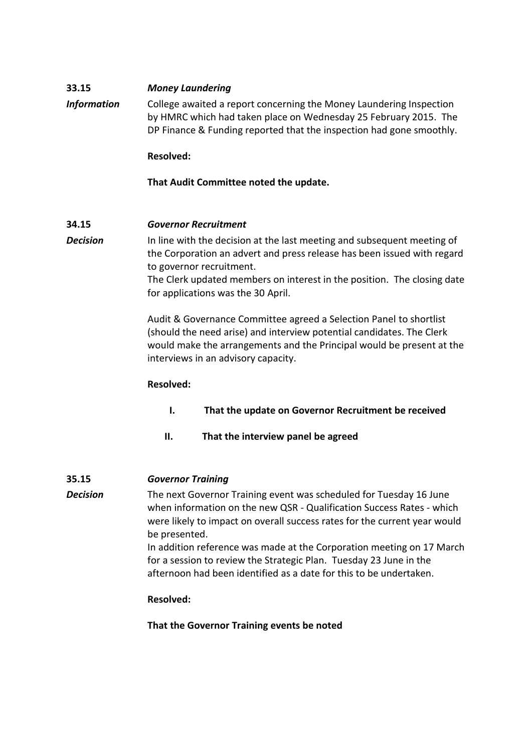### **33.15** *Money Laundering*

*Information* College awaited a report concerning the Money Laundering Inspection by HMRC which had taken place on Wednesday 25 February 2015. The DP Finance & Funding reported that the inspection had gone smoothly.

### **Resolved:**

### **That Audit Committee noted the update.**

### **34.15** *Governor Recruitment*

**Decision** In line with the decision at the last meeting and subsequent meeting of the Corporation an advert and press release has been issued with regard to governor recruitment. The Clerk updated members on interest in the position. The closing date

for applications was the 30 April.

Audit & Governance Committee agreed a Selection Panel to shortlist (should the need arise) and interview potential candidates. The Clerk would make the arrangements and the Principal would be present at the interviews in an advisory capacity.

### **Resolved:**

 **I. That the update on Governor Recruitment be received**

 **II. That the interview panel be agreed**

### **35.15** *Governor Training*

*Decision* The next Governor Training event was scheduled for Tuesday 16 June when information on the new QSR - Qualification Success Rates - which were likely to impact on overall success rates for the current year would be presented.

In addition reference was made at the Corporation meeting on 17 March for a session to review the Strategic Plan. Tuesday 23 June in the afternoon had been identified as a date for this to be undertaken.

### **Resolved:**

**That the Governor Training events be noted**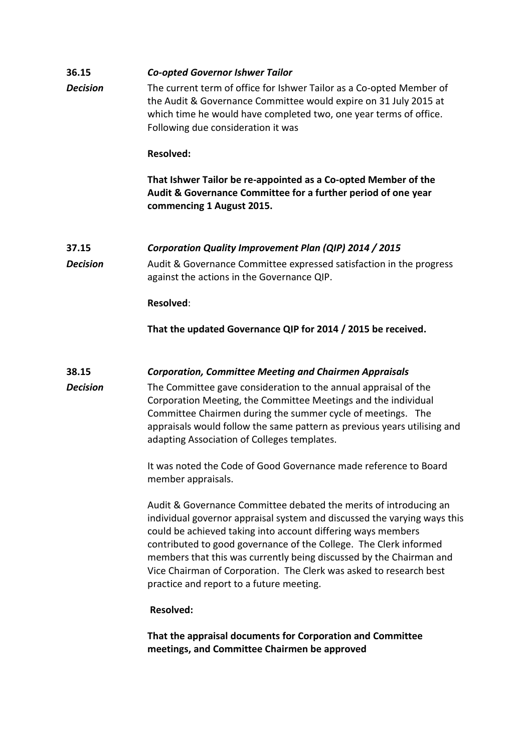### **36.15** *Co-opted Governor Ishwer Tailor*

*Decision* The current term of office for Ishwer Tailor as a Co-opted Member of the Audit & Governance Committee would expire on 31 July 2015 at which time he would have completed two, one year terms of office. Following due consideration it was

#### **Resolved:**

**That Ishwer Tailor be re-appointed as a Co-opted Member of the Audit & Governance Committee for a further period of one year commencing 1 August 2015.**

# **37.15** *Corporation Quality Improvement Plan (QIP) 2014 / 2015*

**Decision** Audit & Governance Committee expressed satisfaction in the progress against the actions in the Governance QIP.

**Resolved**:

**That the updated Governance QIP for 2014 / 2015 be received.**

## **38.15** *Corporation, Committee Meeting and Chairmen Appraisals*

*Decision* The Committee gave consideration to the annual appraisal of the Corporation Meeting, the Committee Meetings and the individual Committee Chairmen during the summer cycle of meetings. The appraisals would follow the same pattern as previous years utilising and adapting Association of Colleges templates.

> It was noted the Code of Good Governance made reference to Board member appraisals.

Audit & Governance Committee debated the merits of introducing an individual governor appraisal system and discussed the varying ways this could be achieved taking into account differing ways members contributed to good governance of the College. The Clerk informed members that this was currently being discussed by the Chairman and Vice Chairman of Corporation. The Clerk was asked to research best practice and report to a future meeting.

### **Resolved:**

**That the appraisal documents for Corporation and Committee meetings, and Committee Chairmen be approved**